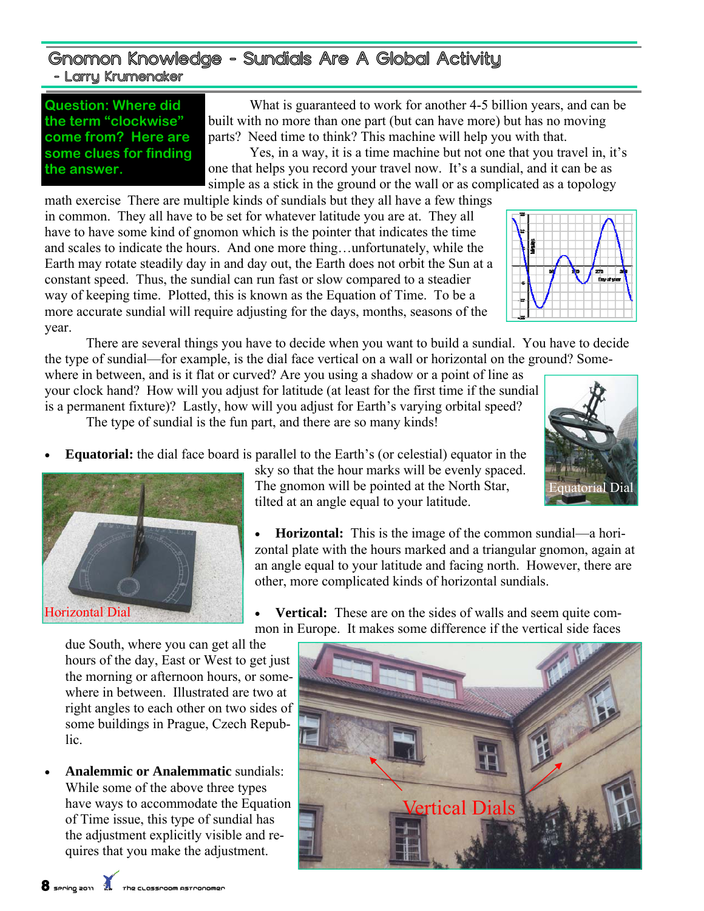## Gnomon Knowledge - Sundials Are A Global Activity - Larry Krumenaker

**Question: Where did the term "clockwise" come from? Here are some clues for finding the answer.** 

 What is guaranteed to work for another 4-5 billion years, and can be built with no more than one part (but can have more) but has no moving parts? Need time to think? This machine will help you with that.

 Yes, in a way, it is a time machine but not one that you travel in, it's one that helps you record your travel now. It's a sundial, and it can be as simple as a stick in the ground or the wall or as complicated as a topology

math exercise There are multiple kinds of sundials but they all have a few things in common. They all have to be set for whatever latitude you are at. They all have to have some kind of gnomon which is the pointer that indicates the time and scales to indicate the hours. And one more thing…unfortunately, while the Earth may rotate steadily day in and day out, the Earth does not orbit the Sun at a constant speed. Thus, the sundial can run fast or slow compared to a steadier way of keeping time. Plotted, this is known as the Equation of Time. To be a more accurate sundial will require adjusting for the days, months, seasons of the year.



 There are several things you have to decide when you want to build a sundial. You have to decide the type of sundial—for example, is the dial face vertical on a wall or horizontal on the ground? Some-

where in between, and is it flat or curved? Are you using a shadow or a point of line as your clock hand? How will you adjust for latitude (at least for the first time if the sundial is a permanent fixture)? Lastly, how will you adjust for Earth's varying orbital speed?

The type of sundial is the fun part, and there are so many kinds!

• **Equatorial:** the dial face board is parallel to the Earth's (or celestial) equator in the



sky so that the hour marks will be evenly spaced. The gnomon will be pointed at the North Star, tilted at an angle equal to your latitude.

• **Horizontal:** This is the image of the common sundial—a horizontal plate with the hours marked and a triangular gnomon, again at an angle equal to your latitude and facing north. However, there are other, more complicated kinds of horizontal sundials.

**Vertical:** These are on the sides of walls and seem quite common in Europe. It makes some difference if the vertical side faces

due South, where you can get all the hours of the day, East or West to get just the morning or afternoon hours, or somewhere in between. Illustrated are two at right angles to each other on two sides of some buildings in Prague, Czech Republic.

• **Analemmic or Analemmatic** sundials: While some of the above three types have ways to accommodate the Equation of Time issue, this type of sundial has the adjustment explicitly visible and requires that you make the adjustment.



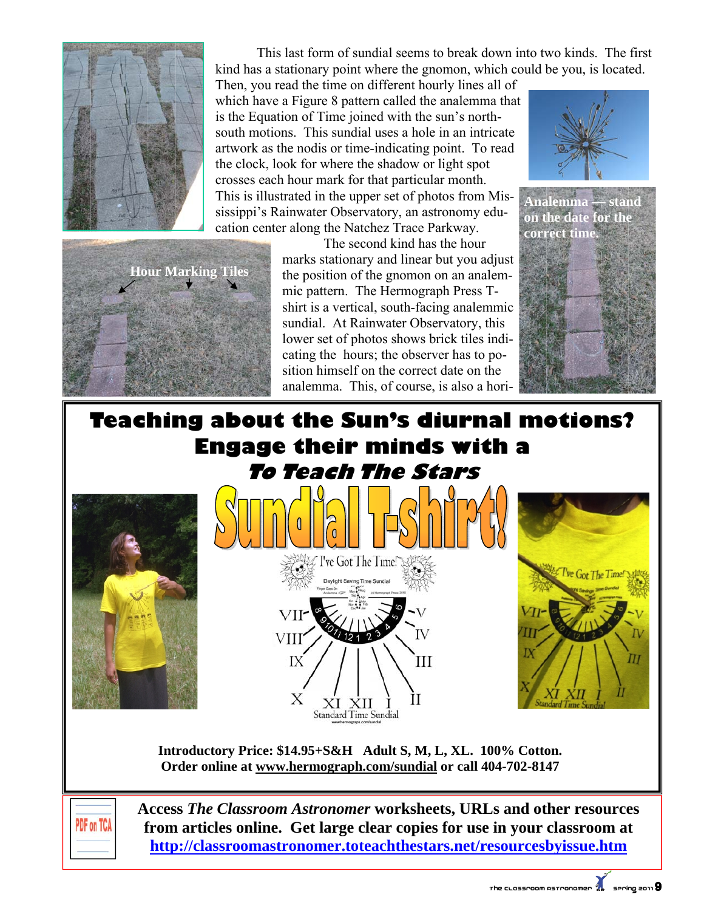

 This last form of sundial seems to break down into two kinds. The first kind has a stationary point where the gnomon, which could be you, is located.

Then, you read the time on different hourly lines all of which have a Figure 8 pattern called the analemma that is the Equation of Time joined with the sun's northsouth motions. This sundial uses a hole in an intricate artwork as the nodis or time-indicating point. To read the clock, look for where the shadow or light spot crosses each hour mark for that particular month. This is illustrated in the upper set of photos from Mississippi's Rainwater Observatory, an astronomy education center along the Natchez Trace Parkway.



 The second kind has the hour marks stationary and linear but you adjust the position of the gnomon on an analemmic pattern. The Hermograph Press Tshirt is a vertical, south-facing analemmic sundial. At Rainwater Observatory, this lower set of photos shows brick tiles indicating the hours; the observer has to position himself on the correct date on the analemma. This, of course, is also a hori-



**Analemma — stand on the date for the correct time.** 



## **Teaching about the Sun's diurnal motions? Engage their minds with a To Teach The Stars**







**Introductory Price: \$14.95+S&H Adult S, M, L, XL. 100% Cotton. Order online at www.hermograph.com/sundial or call 404-702-8147** 

 $\dot{\text{XI}} \dot{\text{XII}} \dot{\text{I}}$ <br>Standard Time Sundial

Х



**Access** *The Classroom Astronomer* **worksheets, URLs and other resources from articles online. Get large clear copies for use in your classroom at http://classroomastronomer.toteachthestars.net/resourcesbyissue.htm**

İІ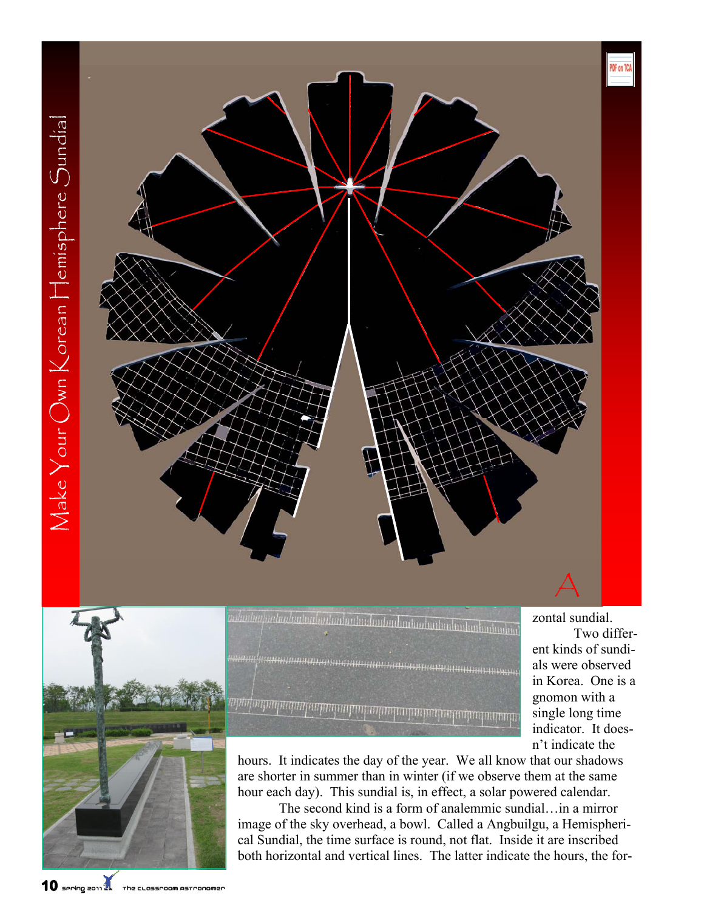



*unluntuu jaataadautuu haataalaataadaadaadaa haataalaadaadaadaad*aa անակացնական հայկական ավտականական հայկական ավտական

 Two different kinds of sundials were observed in Korea. One is a gnomon with a single long time indicator. It doesn't indicate the

hours. It indicates the day of the year. We all know that our shadows are shorter in summer than in winter (if we observe them at the same hour each day). This sundial is, in effect, a solar powered calendar.

 The second kind is a form of analemmic sundial…in a mirror image of the sky overhead, a bowl. Called a Angbuilgu, a Hemispherical Sundial, the time surface is round, not flat. Inside it are inscribed both horizontal and vertical lines. The latter indicate the hours, the for-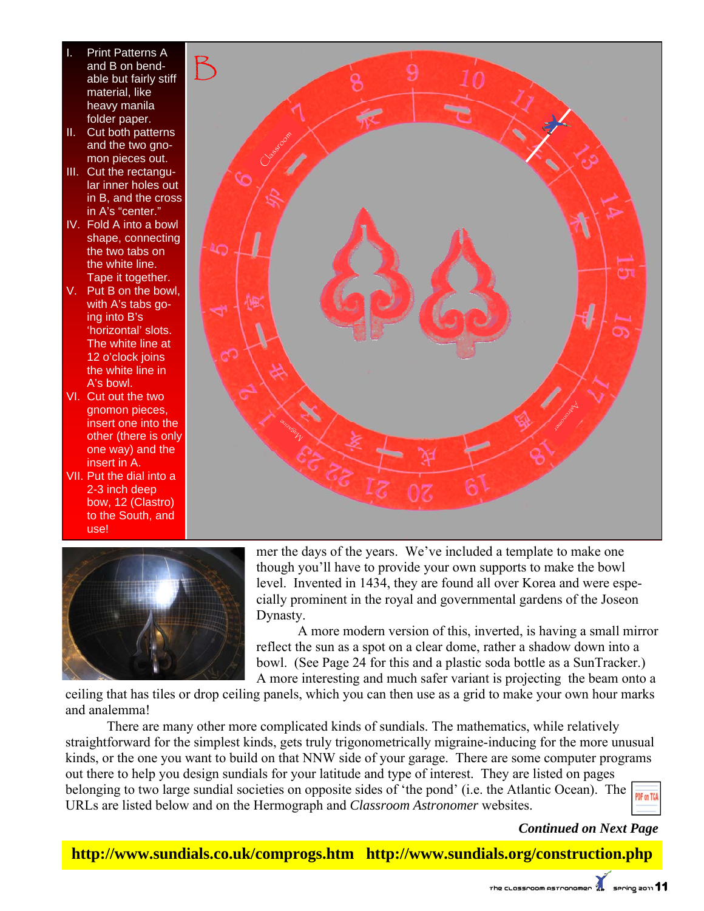- Print Patterns A and B on bendable but fairly stiff material, like heavy manila folder paper.
- II. Cut both patterns and the two gnomon pieces out.
- III. Cut the rectangular inner holes out in B, and the cross in A's "center."
- IV. Fold A into a bowl shape, connecting the two tabs on the white line. Tape it together.
- V. Put B on the bowl, with A's tabs going into B's 'horizontal' slots. The white line at 12 o'clock joins the white line in A's bowl.
- VI. Cut out the two gnomon pieces, insert one into the other (there is only one way) and the insert in A.
- VII. Put the dial into a 2-3 inch deep bow, 12 (Clastro) to the South, and use!





mer the days of the years. We've included a template to make one though you'll have to provide your own supports to make the bowl level. Invented in 1434, they are found all over Korea and were especially prominent in the royal and governmental gardens of the Joseon Dynasty.

 A more modern version of this, inverted, is having a small mirror reflect the sun as a spot on a clear dome, rather a shadow down into a bowl. (See Page 24 for this and a plastic soda bottle as a SunTracker.) A more interesting and much safer variant is projecting the beam onto a

ceiling that has tiles or drop ceiling panels, which you can then use as a grid to make your own hour marks and analemma!

There are many other more complicated kinds of sundials. The mathematics, while relatively straightforward for the simplest kinds, gets truly trigonometrically migraine-inducing for the more unusual kinds, or the one you want to build on that NNW side of your garage. There are some computer programs out there to help you design sundials for your latitude and type of interest. They are listed on pages belonging to two large sundial societies on opposite sides of 'the pond' (i.e. the Atlantic Ocean). The  $\frac{1}{\sqrt{100}}$ URLs are listed below and on the Hermograph and *Classroom Astronomer* websites.

## *Continued on Next Page*

**http://www.sundials.co.uk/comprogs.htm http://www.sundials.org/construction.php**